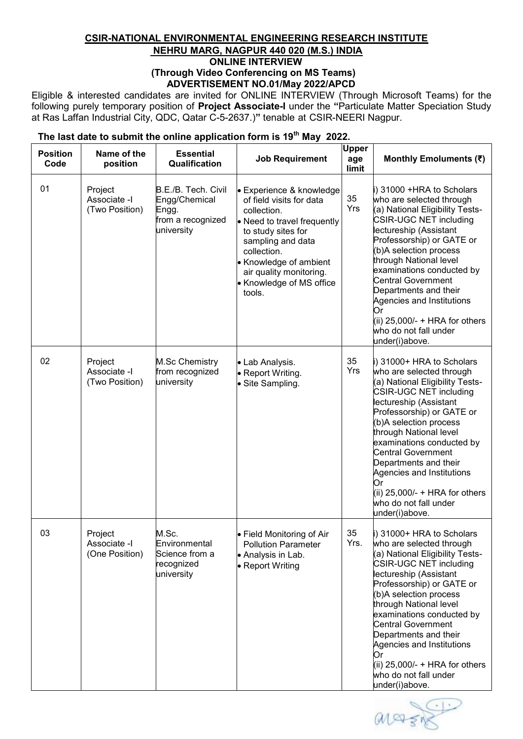## **CSIR-NATIONAL ENVIRONMENTAL ENGINEERING RESEARCH INSTITUTE NEHRU MARG, NAGPUR 440 020 (M.S.) INDIA ONLINE INTERVIEW (Through Video Conferencing on MS Teams) ADVERTISEMENT NO.01/May 2022/APCD**

Eligible & interested candidates are invited for ONLINE INTERVIEW (Through Microsoft Teams) for the following purely temporary position of **Project Associate-I** under the **"**Particulate Matter Speciation Study at Ras Laffan Industrial City, QDC, Qatar C-5-2637.)**"** tenable at CSIR-NEERI Nagpur.

| <b>Position</b><br>Code | Name of the<br>position                   | <b>Essential</b><br>Qualification                                                | <b>Job Requirement</b>                                                                                                                                                                                                                                  | <b>Upper</b><br>age<br>limit | Monthly Emoluments (₹)                                                                                                                                                                                                                                                                                                                                                                                                             |
|-------------------------|-------------------------------------------|----------------------------------------------------------------------------------|---------------------------------------------------------------------------------------------------------------------------------------------------------------------------------------------------------------------------------------------------------|------------------------------|------------------------------------------------------------------------------------------------------------------------------------------------------------------------------------------------------------------------------------------------------------------------------------------------------------------------------------------------------------------------------------------------------------------------------------|
| 01                      | Project<br>Associate -I<br>(Two Position) | B.E./B. Tech. Civil<br>Engg/Chemical<br>Engg.<br>from a recognized<br>university | • Experience & knowledge<br>of field visits for data<br>collection.<br>• Need to travel frequently<br>to study sites for<br>sampling and data<br>collection.<br>• Knowledge of ambient<br>air quality monitoring.<br>• Knowledge of MS office<br>tools. | 35<br>Yrs                    | i) 31000 +HRA to Scholars<br>who are selected through<br>(a) National Eligibility Tests-<br>CSIR-UGC NET including<br>lectureship (Assistant<br>Professorship) or GATE or<br>(b)A selection process<br>through National level<br>examinations conducted by<br><b>Central Government</b><br>Departments and their<br>Agencies and Institutions<br>Or<br>(ii) $25,000/- + HRA$ for others<br>who do not fall under<br>under(i)above. |
| 02                      | Project<br>Associate -I<br>(Two Position) | M.Sc Chemistry<br>from recognized<br>university                                  | • Lab Analysis.<br>• Report Writing.<br>• Site Sampling.                                                                                                                                                                                                | 35<br>Yrs                    | i) 31000+ HRA to Scholars<br>who are selected through<br>(a) National Eligibility Tests-<br>CSIR-UGC NET including<br>lectureship (Assistant<br>Professorship) or GATE or<br>(b)A selection process<br>through National level<br>examinations conducted by<br><b>Central Government</b><br>Departments and their<br>Agencies and Institutions<br>Or<br>(ii) 25,000/- + HRA for others<br>who do not fall under<br>under(i)above.   |
| 03                      | Project<br>Associate -I<br>(One Position) | M.Sc.<br>Environmental<br>Science from a<br>recognized<br>university             | • Field Monitoring of Air<br><b>Pollution Parameter</b><br>• Analysis in Lab.<br>• Report Writing                                                                                                                                                       | 35<br>Yrs.                   | i) 31000+ HRA to Scholars<br>who are selected through<br>(a) National Eligibility Tests-<br>CSIR-UGC NET including<br>lectureship (Assistant<br>Professorship) or GATE or<br>(b)A selection process<br>through National level<br>examinations conducted by<br>Central Government<br>Departments and their<br>Agencies and Institutions<br>Or<br>(ii) 25,000/- + HRA for others<br>who do not fall under<br>under(i)above.          |

## **The last date to submit the online application form is 19th May 2022.**